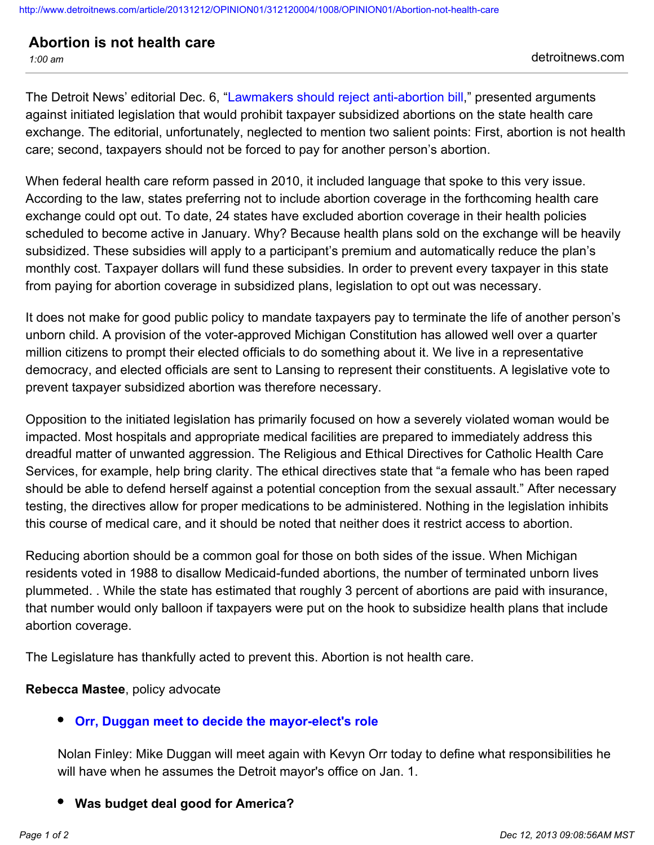## **Abortion is not health care**

The Detroit News' editorial Dec. 6, ["Lawmakers should reject anti-abortion bill](http://www.detroitnews.com/article/20131206/OPINION01/312060046)," presented arguments against initiated legislation that would prohibit taxpayer subsidized abortions on the state health care exchange. The editorial, unfortunately, neglected to mention two salient points: First, abortion is not health care; second, taxpayers should not be forced to pay for another person's abortion.

When federal health care reform passed in 2010, it included language that spoke to this very issue. According to the law, states preferring not to include abortion coverage in the forthcoming health care exchange could opt out. To date, 24 states have excluded abortion coverage in their health policies scheduled to become active in January. Why? Because health plans sold on the exchange will be heavily subsidized. These subsidies will apply to a participant's premium and automatically reduce the plan's monthly cost. Taxpayer dollars will fund these subsidies. In order to prevent every taxpayer in this state from paying for abortion coverage in subsidized plans, legislation to opt out was necessary.

It does not make for good public policy to mandate taxpayers pay to terminate the life of another person's unborn child. A provision of the voter-approved Michigan Constitution has allowed well over a quarter million citizens to prompt their elected officials to do something about it. We live in a representative democracy, and elected officials are sent to Lansing to represent their constituents. A legislative vote to prevent taxpayer subsidized abortion was therefore necessary.

Opposition to the initiated legislation has primarily focused on how a severely violated woman would be impacted. Most hospitals and appropriate medical facilities are prepared to immediately address this dreadful matter of unwanted aggression. The Religious and Ethical Directives for Catholic Health Care Services, for example, help bring clarity. The ethical directives state that "a female who has been raped should be able to defend herself against a potential conception from the sexual assault." After necessary testing, the directives allow for proper medications to be administered. Nothing in the legislation inhibits this course of medical care, and it should be noted that neither does it restrict access to abortion.

Reducing abortion should be a common goal for those on both sides of the issue. When Michigan residents voted in 1988 to disallow Medicaid-funded abortions, the number of terminated unborn lives plummeted. . While the state has estimated that roughly 3 percent of abortions are paid with insurance, that number would only balloon if taxpayers were put on the hook to subsidize health plans that include abortion coverage.

The Legislature has thankfully acted to prevent this. Abortion is not health care.

**Rebecca Mastee**, policy advocate

## **[Orr, Duggan meet to decide the mayor-elect's role](http://www.detroitnews.com/article/20131212/OPINION01/312120002)**

Nolan Finley: Mike Duggan will meet again with Kevyn Orr today to define what responsibilities he will have when he assumes the Detroit mayor's office on Jan. 1.

**Was budget deal good for America?**